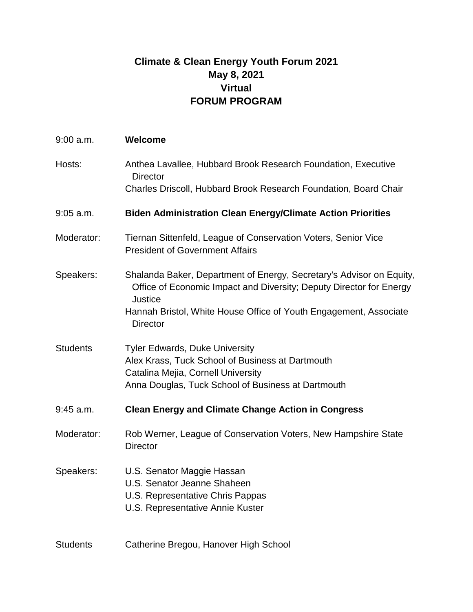## **Climate & Clean Energy Youth Forum 2021 May 8, 2021 Virtual FORUM PROGRAM**

| $9:00$ a.m.     | <b>Welcome</b>                                                                                                                                         |
|-----------------|--------------------------------------------------------------------------------------------------------------------------------------------------------|
| Hosts:          | Anthea Lavallee, Hubbard Brook Research Foundation, Executive<br><b>Director</b>                                                                       |
|                 | Charles Driscoll, Hubbard Brook Research Foundation, Board Chair                                                                                       |
| $9:05$ a.m.     | <b>Biden Administration Clean Energy/Climate Action Priorities</b>                                                                                     |
| Moderator:      | Tiernan Sittenfeld, League of Conservation Voters, Senior Vice<br><b>President of Government Affairs</b>                                               |
| Speakers:       | Shalanda Baker, Department of Energy, Secretary's Advisor on Equity,<br>Office of Economic Impact and Diversity; Deputy Director for Energy<br>Justice |
|                 | Hannah Bristol, White House Office of Youth Engagement, Associate<br><b>Director</b>                                                                   |
| <b>Students</b> | <b>Tyler Edwards, Duke University</b><br>Alex Krass, Tuck School of Business at Dartmouth<br>Catalina Mejia, Cornell University                        |
|                 | Anna Douglas, Tuck School of Business at Dartmouth                                                                                                     |
| 9:45 a.m.       | <b>Clean Energy and Climate Change Action in Congress</b>                                                                                              |
| Moderator:      | Rob Werner, League of Conservation Voters, New Hampshire State<br><b>Director</b>                                                                      |
| Speakers:       | U.S. Senator Maggie Hassan                                                                                                                             |
|                 | U.S. Senator Jeanne Shaheen                                                                                                                            |
|                 | U.S. Representative Chris Pappas<br>U.S. Representative Annie Kuster                                                                                   |
| <b>Students</b> | Catherine Bregou, Hanover High School                                                                                                                  |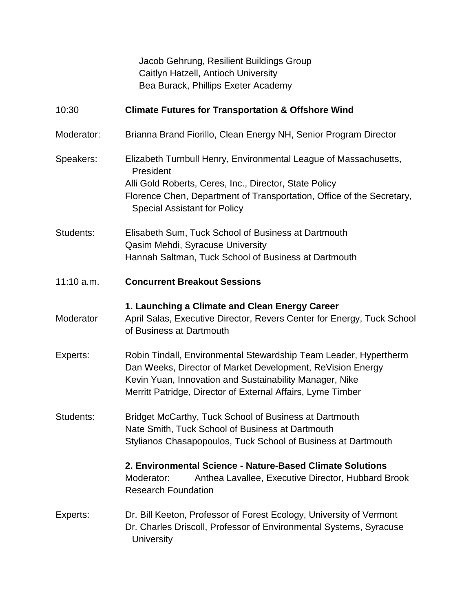Jacob Gehrung, Resilient Buildings Group Caitlyn Hatzell, Antioch University Bea Burack, Phillips Exeter Academy

| 10:30        | <b>Climate Futures for Transportation &amp; Offshore Wind</b>                                                                                                                                                                                            |
|--------------|----------------------------------------------------------------------------------------------------------------------------------------------------------------------------------------------------------------------------------------------------------|
| Moderator:   | Brianna Brand Fiorillo, Clean Energy NH, Senior Program Director                                                                                                                                                                                         |
| Speakers:    | Elizabeth Turnbull Henry, Environmental League of Massachusetts,<br>President<br>Alli Gold Roberts, Ceres, Inc., Director, State Policy<br>Florence Chen, Department of Transportation, Office of the Secretary,<br><b>Special Assistant for Policy</b>  |
| Students:    | Elisabeth Sum, Tuck School of Business at Dartmouth<br>Qasim Mehdi, Syracuse University<br>Hannah Saltman, Tuck School of Business at Dartmouth                                                                                                          |
| $11:10$ a.m. | <b>Concurrent Breakout Sessions</b>                                                                                                                                                                                                                      |
| Moderator    | 1. Launching a Climate and Clean Energy Career<br>April Salas, Executive Director, Revers Center for Energy, Tuck School<br>of Business at Dartmouth                                                                                                     |
| Experts:     | Robin Tindall, Environmental Stewardship Team Leader, Hypertherm<br>Dan Weeks, Director of Market Development, ReVision Energy<br>Kevin Yuan, Innovation and Sustainability Manager, Nike<br>Merritt Patridge, Director of External Affairs, Lyme Timber |
| Students:    | Bridget McCarthy, Tuck School of Business at Dartmouth<br>Nate Smith, Tuck School of Business at Dartmouth<br>Stylianos Chasapopoulos, Tuck School of Business at Dartmouth                                                                              |
|              | 2. Environmental Science - Nature-Based Climate Solutions<br>Moderator:<br>Anthea Lavallee, Executive Director, Hubbard Brook<br><b>Research Foundation</b>                                                                                              |
| Experts:     | Dr. Bill Keeton, Professor of Forest Ecology, University of Vermont<br>Dr. Charles Driscoll, Professor of Environmental Systems, Syracuse<br><b>University</b>                                                                                           |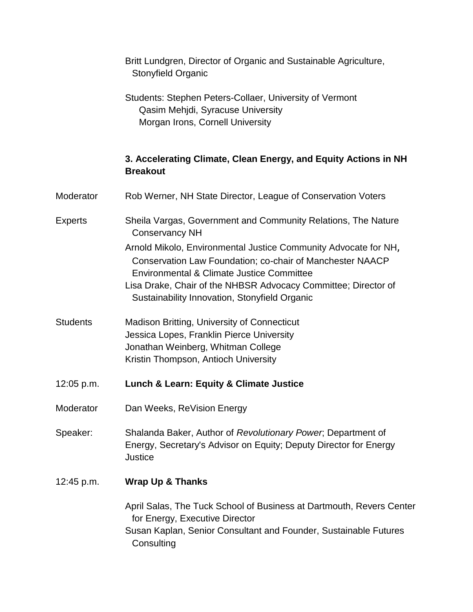|                 | Stonyfield Organic                                                                                                                                                                                                                                                                           |
|-----------------|----------------------------------------------------------------------------------------------------------------------------------------------------------------------------------------------------------------------------------------------------------------------------------------------|
|                 | Students: Stephen Peters-Collaer, University of Vermont<br>Qasim Mehjdi, Syracuse University<br>Morgan Irons, Cornell University                                                                                                                                                             |
|                 | 3. Accelerating Climate, Clean Energy, and Equity Actions in NH<br><b>Breakout</b>                                                                                                                                                                                                           |
| Moderator       | Rob Werner, NH State Director, League of Conservation Voters                                                                                                                                                                                                                                 |
| <b>Experts</b>  | Sheila Vargas, Government and Community Relations, The Nature<br><b>Conservancy NH</b>                                                                                                                                                                                                       |
|                 | Arnold Mikolo, Environmental Justice Community Advocate for NH,<br>Conservation Law Foundation; co-chair of Manchester NAACP<br>Environmental & Climate Justice Committee<br>Lisa Drake, Chair of the NHBSR Advocacy Committee; Director of<br>Sustainability Innovation, Stonyfield Organic |
| <b>Students</b> | Madison Britting, University of Connecticut<br>Jessica Lopes, Franklin Pierce University<br>Jonathan Weinberg, Whitman College<br>Kristin Thompson, Antioch University                                                                                                                       |
| 12:05 p.m.      | Lunch & Learn: Equity & Climate Justice                                                                                                                                                                                                                                                      |
| Moderator       | Dan Weeks, ReVision Energy                                                                                                                                                                                                                                                                   |
| Speaker:        | Shalanda Baker, Author of Revolutionary Power, Department of<br>Energy, Secretary's Advisor on Equity; Deputy Director for Energy<br>Justice                                                                                                                                                 |
| 12:45 p.m.      | <b>Wrap Up &amp; Thanks</b>                                                                                                                                                                                                                                                                  |
|                 | April Salas, The Tuck School of Business at Dartmouth, Revers Center<br>for Energy, Executive Director<br>Susan Kaplan, Senior Consultant and Founder, Sustainable Futures<br>Consulting                                                                                                     |

Britt Lundgren, Director of Organic and Sustainable Agriculture,